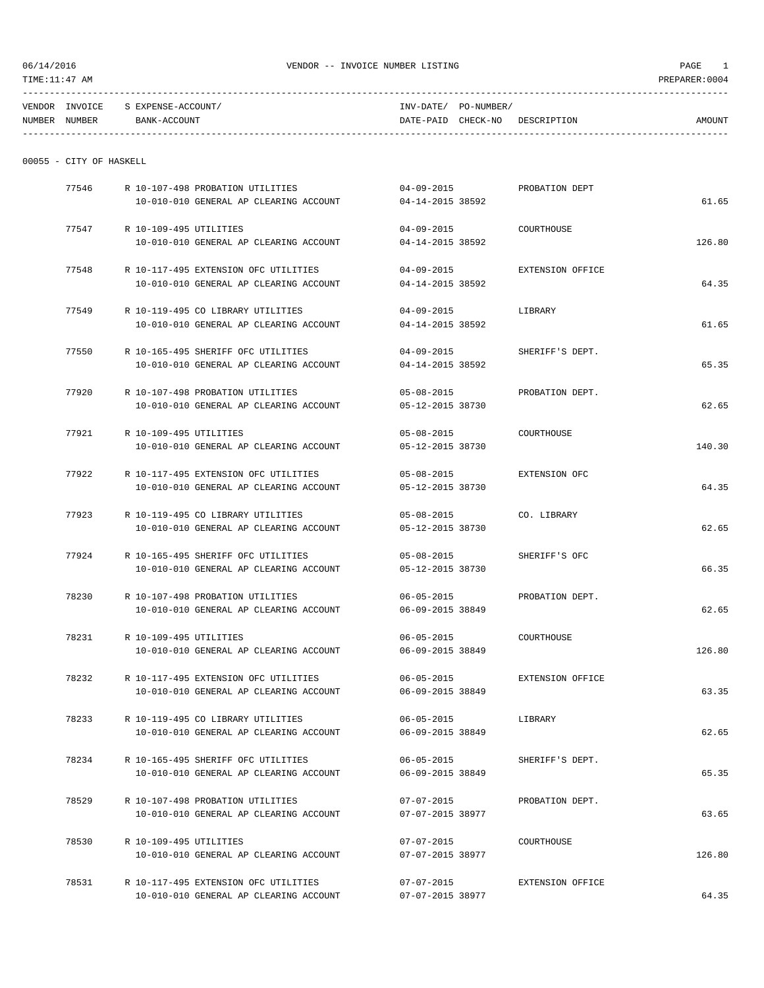| <b>VENDOR</b> | <b>INVOICE</b> | S EXPENSE-ACCOUNT/ | INV-DATE/ | PO-NUMBER/ |             |        |
|---------------|----------------|--------------------|-----------|------------|-------------|--------|
| NUMBER        | NUMBER         | BANK-ACCOUNT       | DATE-PAID | CHECK-NO   | DESCRIPTION | AMOUNT |
|               |                |                    |           |            |             |        |

|  |  | 00055 - CITY OF HASKELL |
|--|--|-------------------------|

|        | PROBATION DEPT   | $04 - 09 - 2015$                     | R 10-107-498 PROBATION UTILITIES       |                        | 77546 |
|--------|------------------|--------------------------------------|----------------------------------------|------------------------|-------|
| 61.65  |                  | 04-14-2015 38592                     | 10-010-010 GENERAL AP CLEARING ACCOUNT |                        |       |
|        |                  |                                      |                                        |                        |       |
|        | COURTHOUSE       | $04 - 09 - 2015$                     |                                        | R 10-109-495 UTILITIES | 77547 |
| 126.80 |                  | 04-14-2015 38592                     | 10-010-010 GENERAL AP CLEARING ACCOUNT |                        |       |
|        | EXTENSION OFFICE | $04 - 09 - 2015$                     | R 10-117-495 EXTENSION OFC UTILITIES   |                        | 77548 |
| 64.35  |                  | 04-14-2015 38592                     | 10-010-010 GENERAL AP CLEARING ACCOUNT |                        |       |
|        |                  |                                      |                                        |                        |       |
|        | LIBRARY          | $04 - 09 - 2015$                     | R 10-119-495 CO LIBRARY UTILITIES      |                        | 77549 |
| 61.65  |                  | 04-14-2015 38592                     | 10-010-010 GENERAL AP CLEARING ACCOUNT |                        |       |
|        |                  |                                      |                                        |                        |       |
|        | SHERIFF'S DEPT.  | $04 - 09 - 2015$                     | R 10-165-495 SHERIFF OFC UTILITIES     |                        | 77550 |
| 65.35  |                  | 04-14-2015 38592                     | 10-010-010 GENERAL AP CLEARING ACCOUNT |                        |       |
|        | PROBATION DEPT.  | $05 - 08 - 2015$                     | R 10-107-498 PROBATION UTILITIES       |                        | 77920 |
| 62.65  |                  | 05-12-2015 38730                     | 10-010-010 GENERAL AP CLEARING ACCOUNT |                        |       |
|        |                  |                                      |                                        |                        |       |
|        | COURTHOUSE       | $05 - 08 - 2015$                     |                                        | R 10-109-495 UTILITIES | 77921 |
| 140.30 |                  | 05-12-2015 38730                     | 10-010-010 GENERAL AP CLEARING ACCOUNT |                        |       |
|        |                  |                                      |                                        |                        |       |
|        | EXTENSION OFC    | $05 - 08 - 2015$                     | R 10-117-495 EXTENSION OFC UTILITIES   |                        | 77922 |
| 64.35  |                  | 05-12-2015 38730                     | 10-010-010 GENERAL AP CLEARING ACCOUNT |                        |       |
|        |                  |                                      |                                        |                        |       |
|        | CO. LIBRARY      | $05 - 08 - 2015$                     | R 10-119-495 CO LIBRARY UTILITIES      |                        | 77923 |
| 62.65  |                  | 05-12-2015 38730                     | 10-010-010 GENERAL AP CLEARING ACCOUNT |                        |       |
|        | SHERIFF'S OFC    | $05 - 08 - 2015$                     | R 10-165-495 SHERIFF OFC UTILITIES     |                        | 77924 |
| 66.35  |                  | 05-12-2015 38730                     | 10-010-010 GENERAL AP CLEARING ACCOUNT |                        |       |
|        |                  |                                      |                                        |                        |       |
|        | PROBATION DEPT.  | $06 - 05 - 2015$                     | R 10-107-498 PROBATION UTILITIES       |                        | 78230 |
| 62.65  |                  | 06-09-2015 38849                     | 10-010-010 GENERAL AP CLEARING ACCOUNT |                        |       |
|        |                  |                                      |                                        |                        |       |
|        | COURTHOUSE       | $06 - 05 - 2015$                     |                                        | R 10-109-495 UTILITIES | 78231 |
| 126.80 |                  | 06-09-2015 38849                     | 10-010-010 GENERAL AP CLEARING ACCOUNT |                        |       |
|        | EXTENSION OFFICE |                                      | R 10-117-495 EXTENSION OFC UTILITIES   |                        |       |
| 63.35  |                  | $06 - 05 - 2015$<br>06-09-2015 38849 | 10-010-010 GENERAL AP CLEARING ACCOUNT |                        | 78232 |
|        |                  |                                      |                                        |                        |       |
|        | LIBRARY          | $06 - 05 - 2015$                     | R 10-119-495 CO LIBRARY UTILITIES      |                        | 78233 |
| 62.65  |                  | 06-09-2015 38849                     | 10-010-010 GENERAL AP CLEARING ACCOUNT |                        |       |
|        |                  |                                      |                                        |                        |       |
|        | SHERIFF'S DEPT.  | $06 - 05 - 2015$                     | R 10-165-495 SHERIFF OFC UTILITIES     |                        | 78234 |
| 65.35  |                  | 06-09-2015 38849                     | 10-010-010 GENERAL AP CLEARING ACCOUNT |                        |       |
|        |                  |                                      |                                        |                        |       |
|        | PROBATION DEPT.  | 07-07-2015                           | R 10-107-498 PROBATION UTILITIES       |                        | 78529 |
| 63.65  |                  | 07-07-2015 38977                     | 10-010-010 GENERAL AP CLEARING ACCOUNT |                        |       |
|        | COURTHOUSE       | 07-07-2015                           |                                        | R 10-109-495 UTILITIES | 78530 |
| 126.80 |                  | 07-07-2015 38977                     | 10-010-010 GENERAL AP CLEARING ACCOUNT |                        |       |
|        |                  |                                      |                                        |                        |       |
|        | EXTENSION OFFICE | $07 - 07 - 2015$                     | R 10-117-495 EXTENSION OFC UTILITIES   |                        | 78531 |
| 64.35  |                  | 07-07-2015 38977                     | 10-010-010 GENERAL AP CLEARING ACCOUNT |                        |       |
|        |                  |                                      |                                        |                        |       |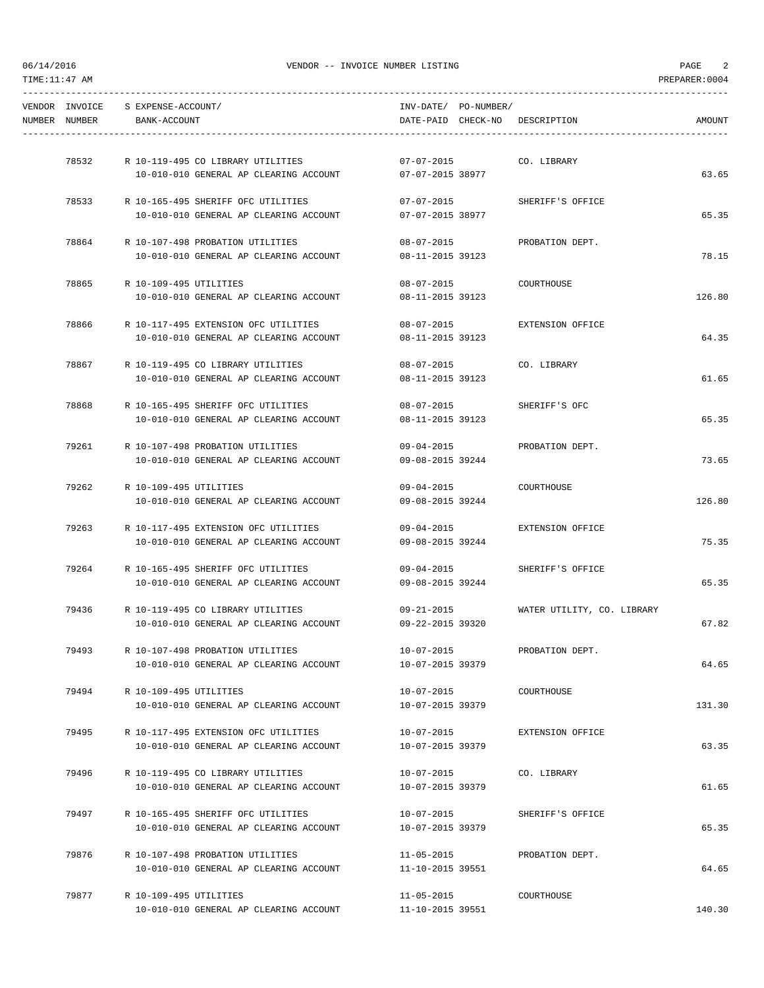|               | VENDOR INVOICE S EXPENSE-ACCOUNT/ |                                                                            |                                | INV-DATE/ PO-NUMBER/ |                                |        |
|---------------|-----------------------------------|----------------------------------------------------------------------------|--------------------------------|----------------------|--------------------------------|--------|
| NUMBER NUMBER | BANK-ACCOUNT                      |                                                                            |                                |                      | DATE-PAID CHECK-NO DESCRIPTION | AMOUNT |
|               |                                   | 78532 R 10-119-495 CO LIBRARY UTILITIES                                    | $07 - 07 - 2015$               |                      | CO. LIBRARY                    |        |
|               |                                   | 10-010-010 GENERAL AP CLEARING ACCOUNT                                     | 07-07-2015 38977               |                      |                                | 63.65  |
|               |                                   |                                                                            |                                |                      |                                |        |
|               |                                   | 78533 R 10-165-495 SHERIFF OFC UTILITIES                                   | $07 - 07 - 2015$               |                      | SHERIFF'S OFFICE               |        |
|               |                                   | 10-010-010 GENERAL AP CLEARING ACCOUNT                                     | 07-07-2015 38977               |                      |                                | 65.35  |
| 78864         |                                   | R 10-107-498 PROBATION UTILITIES                                           | $08 - 07 - 2015$               |                      | PROBATION DEPT.                |        |
|               |                                   | 10-010-010 GENERAL AP CLEARING ACCOUNT                                     | 08-11-2015 39123               |                      |                                | 78.15  |
|               | 78865 R 10-109-495 UTILITIES      |                                                                            | $08 - 07 - 2015$               |                      | COURTHOUSE                     |        |
|               |                                   | 10-010-010 GENERAL AP CLEARING ACCOUNT                                     | 08-11-2015 39123               |                      |                                | 126.80 |
| 78866         |                                   | R 10-117-495 EXTENSION OFC UTILITIES                                       | $08 - 07 - 2015$               |                      | EXTENSION OFFICE               |        |
|               |                                   | 10-010-010 GENERAL AP CLEARING ACCOUNT                                     | 08-11-2015 39123               |                      |                                | 64.35  |
| 78867         |                                   | R 10-119-495 CO LIBRARY UTILITIES                                          | $08 - 07 - 2015$               |                      | CO. LIBRARY                    |        |
|               |                                   | 10-010-010 GENERAL AP CLEARING ACCOUNT                                     | 08-11-2015 39123               |                      |                                | 61.65  |
|               |                                   | 78868 R 10-165-495 SHERIFF OFC UTILITIES                                   | $08 - 07 - 2015$               |                      | SHERIFF'S OFC                  |        |
|               |                                   | 10-010-010 GENERAL AP CLEARING ACCOUNT                                     | 08-11-2015 39123               |                      |                                | 65.35  |
|               |                                   | 79261 R 10-107-498 PROBATION UTILITIES                                     |                                |                      | 09-04-2015 PROBATION DEPT.     |        |
|               |                                   | 10-010-010 GENERAL AP CLEARING ACCOUNT                                     | 09-08-2015 39244               |                      |                                | 73.65  |
| 79262         | R 10-109-495 UTILITIES            |                                                                            | $09 - 04 - 2015$               |                      | COURTHOUSE                     |        |
|               |                                   | 10-010-010 GENERAL AP CLEARING ACCOUNT                                     | 09-08-2015 39244               |                      |                                | 126.80 |
| 79263         |                                   | R 10-117-495 EXTENSION OFC UTILITIES                                       | $09 - 04 - 2015$               |                      | EXTENSION OFFICE               |        |
|               |                                   | 10-010-010 GENERAL AP CLEARING ACCOUNT                                     | 09-08-2015 39244               |                      |                                | 75.35  |
|               |                                   | 79264 R 10-165-495 SHERIFF OFC UTILITIES                                   | $09 - 04 - 2015$               |                      | SHERIFF'S OFFICE               |        |
|               |                                   | 10-010-010 GENERAL AP CLEARING ACCOUNT                                     | 09-08-2015 39244               |                      |                                | 65.35  |
|               |                                   | 79436 R 10-119-495 CO LIBRARY UTILITIES                                    | $09 - 21 - 2015$               |                      | WATER UTILITY, CO. LIBRARY     |        |
|               |                                   | 10-010-010 GENERAL AP CLEARING ACCOUNT                                     | 09-22-2015 39320               |                      |                                | 67.82  |
| 79493         |                                   | R 10-107-498 PROBATION UTILITIES                                           | $10 - 07 - 2015$               |                      | PROBATION DEPT.                |        |
|               |                                   | 10-010-010 GENERAL AP CLEARING ACCOUNT                                     | 10-07-2015 39379               |                      |                                | 64.65  |
| 79494         | R 10-109-495 UTILITIES            |                                                                            | $10 - 07 - 2015$               |                      | COURTHOUSE                     |        |
|               |                                   | 10-010-010 GENERAL AP CLEARING ACCOUNT                                     | 10-07-2015 39379               |                      |                                | 131.30 |
| 79495         |                                   | R 10-117-495 EXTENSION OFC UTILITIES                                       | 10-07-2015                     |                      | EXTENSION OFFICE               |        |
|               |                                   | 10-010-010 GENERAL AP CLEARING ACCOUNT                                     | 10-07-2015 39379               |                      |                                | 63.35  |
| 79496         |                                   | R 10-119-495 CO LIBRARY UTILITIES                                          | 10-07-2015                     |                      | CO. LIBRARY                    |        |
|               |                                   | 10-010-010 GENERAL AP CLEARING ACCOUNT                                     | 10-07-2015 39379               |                      |                                | 61.65  |
| 79497         |                                   | R 10-165-495 SHERIFF OFC UTILITIES                                         |                                |                      |                                |        |
|               |                                   | 10-010-010 GENERAL AP CLEARING ACCOUNT                                     | 10-07-2015<br>10-07-2015 39379 |                      | SHERIFF'S OFFICE               | 65.35  |
|               |                                   |                                                                            |                                |                      |                                |        |
| 79876         |                                   | R 10-107-498 PROBATION UTILITIES<br>10-010-010 GENERAL AP CLEARING ACCOUNT | 11-05-2015<br>11-10-2015 39551 |                      | PROBATION DEPT.                | 64.65  |
|               |                                   |                                                                            |                                |                      |                                |        |
| 79877         | R 10-109-495 UTILITIES            | 10-010-010 GENERAL AP CLEARING ACCOUNT                                     | 11-05-2015<br>11-10-2015 39551 |                      | COURTHOUSE                     | 140.30 |
|               |                                   |                                                                            |                                |                      |                                |        |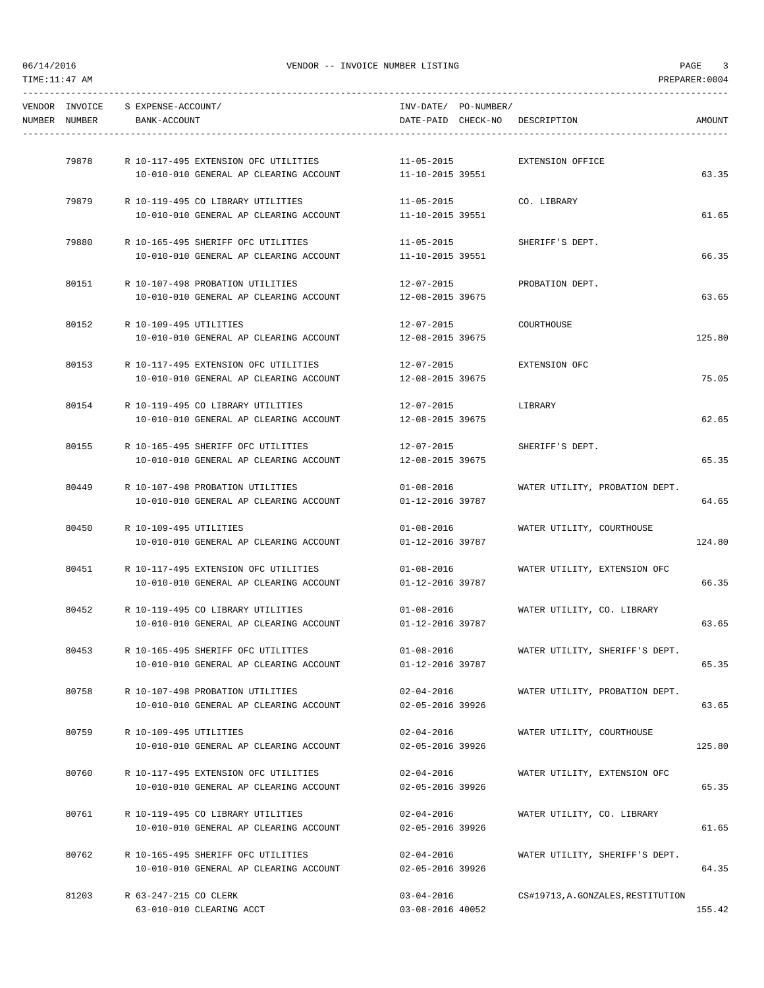| NUMBER NUMBER | VENDOR INVOICE S EXPENSE-ACCOUNT/<br>BANK-ACCOUNT |                                                                                   | INV-DATE/ PO-NUMBER/                 | DATE-PAID CHECK-NO DESCRIPTION          | AMOUNT |
|---------------|---------------------------------------------------|-----------------------------------------------------------------------------------|--------------------------------------|-----------------------------------------|--------|
|               |                                                   |                                                                                   |                                      |                                         |        |
|               |                                                   | 79878 R 10-117-495 EXTENSION OFC UTILITIES 11-05-2015                             |                                      | EXTENSION OFFICE                        |        |
|               |                                                   | 10-010-010 GENERAL AP CLEARING ACCOUNT 11-10-2015 39551                           |                                      |                                         | 63.35  |
|               |                                                   | 79879 R 10-119-495 CO LIBRARY UTILITIES                                           | $11 - 05 - 2015$                     | CO. LIBRARY                             |        |
|               |                                                   | 10-010-010 GENERAL AP CLEARING ACCOUNT                                            | 11-10-2015 39551                     |                                         | 61.65  |
|               |                                                   | 79880 R 10-165-495 SHERIFF OFC UTILITIES                                          |                                      | 11-05-2015 SHERIFF'S DEPT.              |        |
|               |                                                   | $10-010-010$ GENERAL AP CLEARING ACCOUNT $11-10-2015$ 39551                       |                                      |                                         | 66.35  |
|               |                                                   |                                                                                   |                                      |                                         |        |
| 80151         |                                                   | R 10-107-498 PROBATION UTILITIES<br>10-010-010 GENERAL AP CLEARING ACCOUNT        | 12-07-2015<br>12-08-2015 39675       | PROBATION DEPT.                         | 63.65  |
|               |                                                   |                                                                                   |                                      |                                         |        |
| 80152         | R 10-109-495 UTILITIES                            |                                                                                   | $12 - 07 - 2015$                     | COURTHOUSE                              |        |
|               |                                                   | 10-010-010 GENERAL AP CLEARING ACCOUNT                                            | 12-08-2015 39675                     |                                         | 125.80 |
|               |                                                   | 80153 R 10-117-495 EXTENSION OFC UTILITIES                                        | 12-07-2015                           | EXTENSION OFC                           |        |
|               |                                                   | 10-010-010 GENERAL AP CLEARING ACCOUNT                                            | 12-08-2015 39675                     |                                         | 75.05  |
|               |                                                   | 80154 R 10-119-495 CO LIBRARY UTILITIES                                           | 12-07-2015                           | LIBRARY                                 |        |
|               |                                                   | 10-010-010 GENERAL AP CLEARING ACCOUNT                                            | 12-08-2015 39675                     |                                         | 62.65  |
|               |                                                   |                                                                                   |                                      |                                         |        |
| 80155         |                                                   | R 10-165-495 SHERIFF OFC UTILITIES<br>10-010-010 GENERAL AP CLEARING ACCOUNT      | 12-07-2015<br>12-08-2015 39675       | SHERIFF'S DEPT.                         | 65.35  |
|               |                                                   |                                                                                   |                                      |                                         |        |
| 80449         |                                                   | R 10-107-498 PROBATION UTILITIES                                                  | $01 - 08 - 2016$                     | WATER UTILITY, PROBATION DEPT.          |        |
|               |                                                   | 10-010-010 GENERAL AP CLEARING ACCOUNT                                            | 01-12-2016 39787                     |                                         | 64.65  |
|               | 80450 R 10-109-495 UTILITIES                      |                                                                                   | $01 - 08 - 2016$                     | WATER UTILITY, COURTHOUSE               |        |
|               |                                                   | 10-010-010 GENERAL AP CLEARING ACCOUNT                                            | 01-12-2016 39787                     |                                         | 124.80 |
|               |                                                   | 80451 R 10-117-495 EXTENSION OFC UTILITIES                                        |                                      | 01-08-2016 WATER UTILITY, EXTENSION OFC |        |
|               |                                                   | 10-010-010 GENERAL AP CLEARING ACCOUNT                                            | 01-12-2016 39787                     |                                         | 66.35  |
|               |                                                   |                                                                                   |                                      |                                         |        |
|               |                                                   | 80452 R 10-119-495 CO LIBRARY UTILITIES<br>10-010-010 GENERAL AP CLEARING ACCOUNT | $01 - 08 - 2016$<br>01-12-2016 39787 | WATER UTILITY, CO. LIBRARY              | 63.65  |
|               |                                                   |                                                                                   |                                      |                                         |        |
| 80453         |                                                   | R 10-165-495 SHERIFF OFC UTILITIES                                                | $01 - 08 - 2016$                     | WATER UTILITY, SHERIFF'S DEPT.          |        |
|               |                                                   | 10-010-010 GENERAL AP CLEARING ACCOUNT                                            | 01-12-2016 39787                     |                                         | 65.35  |
| 80758         |                                                   | R 10-107-498 PROBATION UTILITIES                                                  | $02 - 04 - 2016$                     | WATER UTILITY, PROBATION DEPT.          |        |
|               |                                                   | 10-010-010 GENERAL AP CLEARING ACCOUNT                                            | 02-05-2016 39926                     |                                         | 63.65  |
| 80759         | R 10-109-495 UTILITIES                            |                                                                                   | $02 - 04 - 2016$                     | WATER UTILITY, COURTHOUSE               |        |
|               |                                                   | 10-010-010 GENERAL AP CLEARING ACCOUNT                                            | 02-05-2016 39926                     |                                         | 125.80 |
|               |                                                   |                                                                                   |                                      |                                         |        |
| 80760         |                                                   | R 10-117-495 EXTENSION OFC UTILITIES<br>10-010-010 GENERAL AP CLEARING ACCOUNT    | $02 - 04 - 2016$<br>02-05-2016 39926 | WATER UTILITY, EXTENSION OFC            | 65.35  |
|               |                                                   |                                                                                   |                                      |                                         |        |
| 80761         |                                                   | R 10-119-495 CO LIBRARY UTILITIES                                                 | $02 - 04 - 2016$                     | WATER UTILITY, CO. LIBRARY              |        |
|               |                                                   | 10-010-010 GENERAL AP CLEARING ACCOUNT                                            | 02-05-2016 39926                     |                                         | 61.65  |
| 80762         |                                                   | R 10-165-495 SHERIFF OFC UTILITIES                                                | $02 - 04 - 2016$                     | WATER UTILITY, SHERIFF'S DEPT.          |        |
|               |                                                   | 10-010-010 GENERAL AP CLEARING ACCOUNT                                            | 02-05-2016 39926                     |                                         | 64.35  |
| 81203         | R 63-247-215 CO CLERK                             |                                                                                   | $03 - 04 - 2016$                     | CS#19713, A. GONZALES, RESTITUTION      |        |
|               |                                                   | 63-010-010 CLEARING ACCT                                                          | 03-08-2016 40052                     |                                         | 155.42 |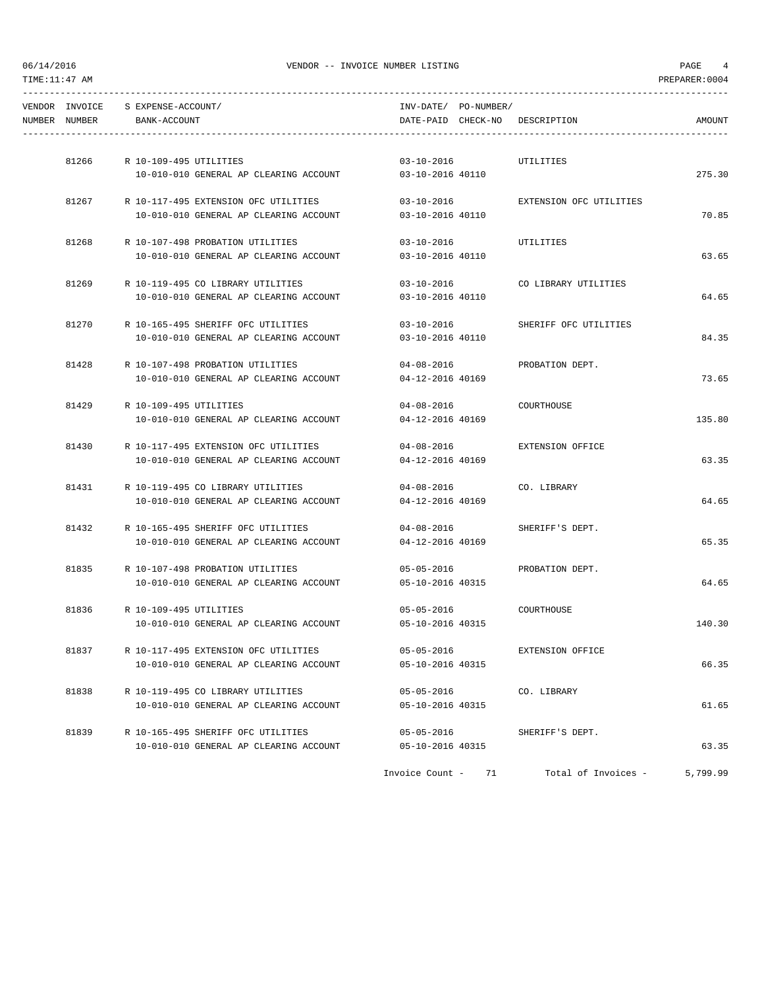| NUMBER NUMBER | VENDOR INVOICE S EXPENSE-ACCOUNT/<br>BANK-ACCOUNT | INV-DATE/ PO-NUMBER/   |    | DATE-PAID CHECK-NO DESCRIPTION | <b>AMOUNT</b> |
|---------------|---------------------------------------------------|------------------------|----|--------------------------------|---------------|
| 81266         | R 10-109-495 UTILITIES                            | $03 - 10 - 2016$       |    | UTILITIES                      |               |
|               | 10-010-010 GENERAL AP CLEARING ACCOUNT            | 03-10-2016 40110       |    |                                | 275.30        |
|               | 81267 R 10-117-495 EXTENSION OFC UTILITIES        | $03 - 10 - 2016$       |    | EXTENSION OFC UTILITIES        |               |
|               | 10-010-010 GENERAL AP CLEARING ACCOUNT            | 03-10-2016 40110       |    |                                | 70.85         |
| 81268         | R 10-107-498 PROBATION UTILITIES                  | $03 - 10 - 2016$       |    | UTILITIES                      |               |
|               | 10-010-010 GENERAL AP CLEARING ACCOUNT            | 03-10-2016 40110       |    |                                | 63.65         |
|               | 81269 R 10-119-495 CO LIBRARY UTILITIES           | $03 - 10 - 2016$       |    | CO LIBRARY UTILITIES           |               |
|               | 10-010-010 GENERAL AP CLEARING ACCOUNT            | 03-10-2016 40110       |    |                                | 64.65         |
| 81270         | R 10-165-495 SHERIFF OFC UTILITIES                | $03 - 10 - 2016$       |    | SHERIFF OFC UTILITIES          |               |
|               | 10-010-010 GENERAL AP CLEARING ACCOUNT            | 03-10-2016 40110       |    |                                | 84.35         |
| 81428         | R 10-107-498 PROBATION UTILITIES                  | 04-08-2016             |    | PROBATION DEPT.                |               |
|               | 10-010-010 GENERAL AP CLEARING ACCOUNT            | $04 - 12 - 2016$ 40169 |    |                                | 73.65         |
|               | 81429 R 10-109-495 UTILITIES                      | $04 - 08 - 2016$       |    | COURTHOUSE                     |               |
|               | 10-010-010 GENERAL AP CLEARING ACCOUNT            | 04-12-2016 40169       |    |                                | 135.80        |
| 81430         | R 10-117-495 EXTENSION OFC UTILITIES              | $04 - 08 - 2016$       |    | EXTENSION OFFICE               |               |
|               | 10-010-010 GENERAL AP CLEARING ACCOUNT            | 04-12-2016 40169       |    |                                | 63.35         |
| 81431         | R 10-119-495 CO LIBRARY UTILITIES                 | $04 - 08 - 2016$       |    | CO. LIBRARY                    |               |
|               | 10-010-010 GENERAL AP CLEARING ACCOUNT            | 04-12-2016 40169       |    |                                | 64.65         |
| 81432         | R 10-165-495 SHERIFF OFC UTILITIES                | 04-08-2016             |    | SHERIFF'S DEPT.                |               |
|               | 10-010-010 GENERAL AP CLEARING ACCOUNT            | 04-12-2016 40169       |    |                                | 65.35         |
| 81835         | R 10-107-498 PROBATION UTILITIES                  | $05 - 05 - 2016$       |    | PROBATION DEPT.                |               |
|               | 10-010-010 GENERAL AP CLEARING ACCOUNT            | 05-10-2016 40315       |    |                                | 64.65         |
| 81836         | R 10-109-495 UTILITIES                            | 05-05-2016             |    | COURTHOUSE                     |               |
|               | 10-010-010 GENERAL AP CLEARING ACCOUNT            | 05-10-2016 40315       |    |                                | 140.30        |
| 81837         | R 10-117-495 EXTENSION OFC UTILITIES              | $05 - 05 - 2016$       |    | EXTENSION OFFICE               |               |
|               | 10-010-010 GENERAL AP CLEARING ACCOUNT            | 05-10-2016 40315       |    |                                | 66.35         |
| 81838         | R 10-119-495 CO LIBRARY UTILITIES                 | $05 - 05 - 2016$       |    | CO. LIBRARY                    |               |
|               | 10-010-010 GENERAL AP CLEARING ACCOUNT            | 05-10-2016 40315       |    |                                | 61.65         |
| 81839         | R 10-165-495 SHERIFF OFC UTILITIES                | 05-05-2016             |    | SHERIFF'S DEPT.                |               |
|               | 10-010-010 GENERAL AP CLEARING ACCOUNT            | 05-10-2016 40315       |    |                                | 63.35         |
|               |                                                   | Invoice Count -        | 71 | Total of Invoices -            | 5,799.99      |